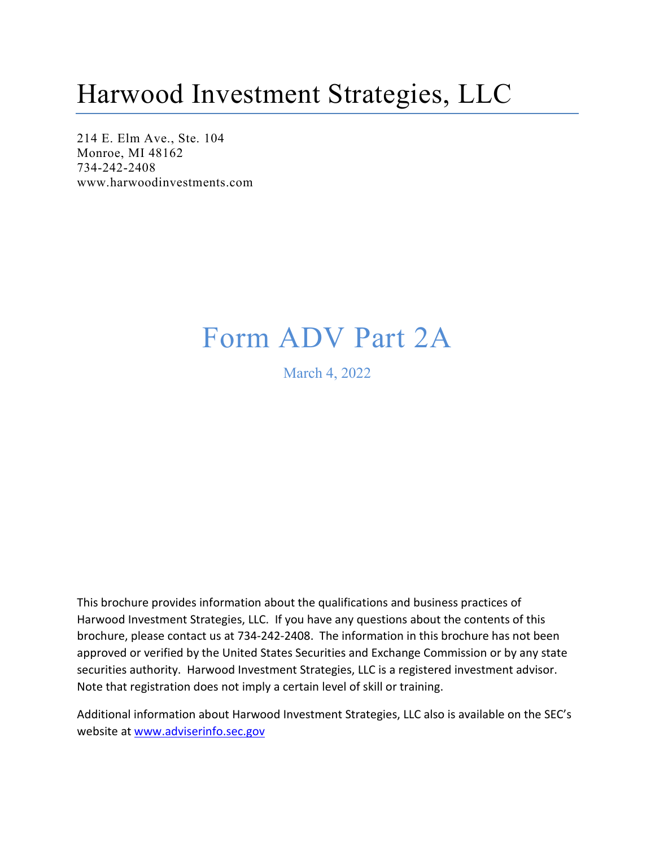## Harwood Investment Strategies, LLC

214 E. Elm Ave., Ste. 104 Monroe, MI 48162 734-242-2408 [www.harwoodinvestments.com](http://www.harwoodinvestments.com/)

## Form ADV Part 2A

March 4, 2022

This brochure provides information about the qualifications and business practices of Harwood Investment Strategies, LLC. If you have any questions about the contents of this brochure, please contact us at 734-242-2408. The information in this brochure has not been approved or verified by the United States Securities and Exchange Commission or by any state securities authority. Harwood Investment Strategies, LLC is a registered investment advisor. Note that registration does not imply a certain level of skill or training.

Additional information about Harwood Investment Strategies, LLC also is available on the SEC's website at [www.adviserinfo.sec.gov](http://www.adviserinfo.sec.gov/)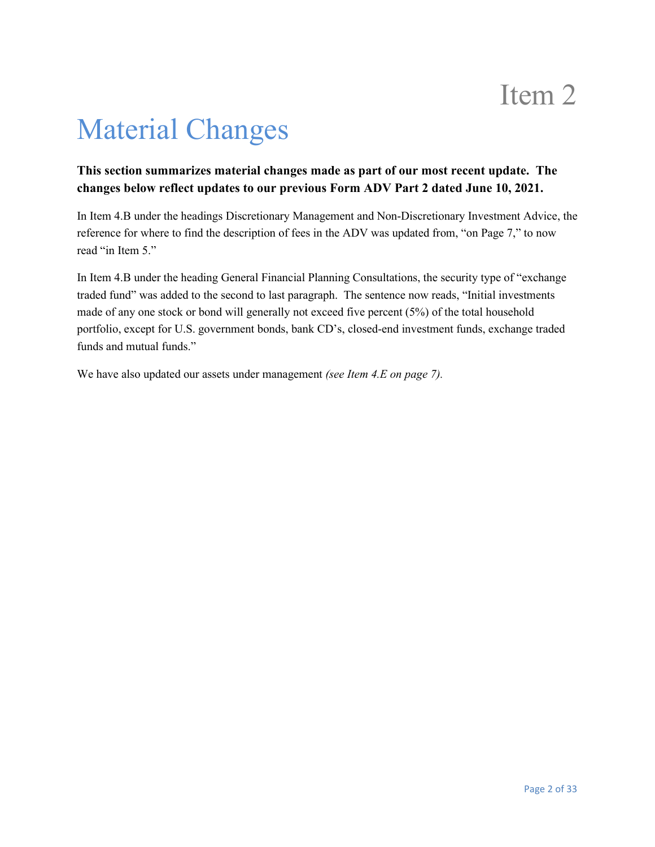# Material Changes

### **This section summarizes material changes made as part of our most recent update. The changes below reflect updates to our previous Form ADV Part 2 dated June 10, 2021.**

In Item 4.B under the headings Discretionary Management and Non-Discretionary Investment Advice, the reference for where to find the description of fees in the ADV was updated from, "on Page 7," to now read "in Item 5."

In Item 4.B under the heading General Financial Planning Consultations, the security type of "exchange traded fund" was added to the second to last paragraph. The sentence now reads, "Initial investments made of any one stock or bond will generally not exceed five percent (5%) of the total household portfolio, except for U.S. government bonds, bank CD's, closed-end investment funds, exchange traded funds and mutual funds."

We have also updated our assets under management *(see Item 4.E on page 7).*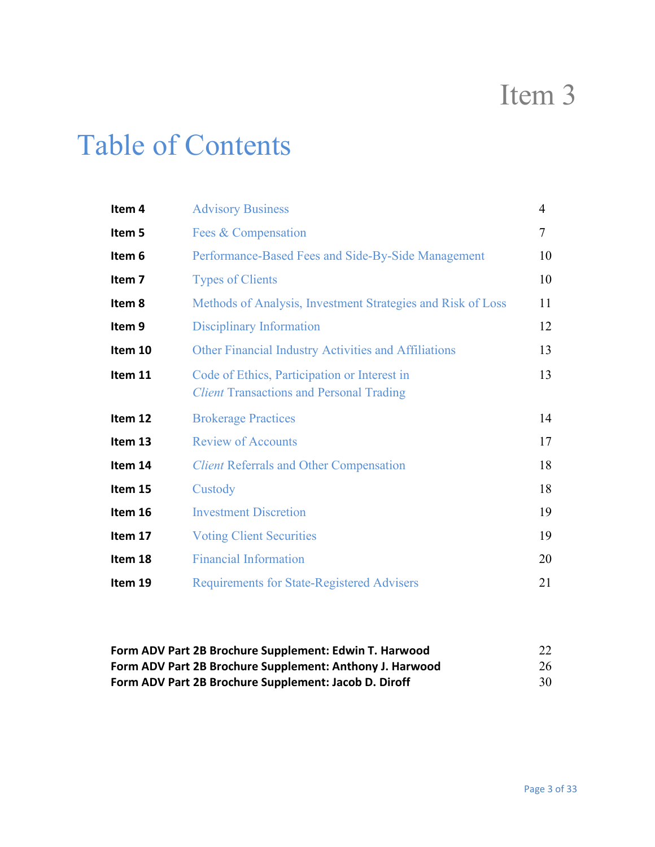## Table of Contents

| Item 4            | <b>Advisory Business</b>                                                                        | 4      |
|-------------------|-------------------------------------------------------------------------------------------------|--------|
| Item 5            | Fees & Compensation                                                                             | $\tau$ |
| Item 6            | Performance-Based Fees and Side-By-Side Management                                              | 10     |
| Item <sub>7</sub> | <b>Types of Clients</b>                                                                         | 10     |
| Item 8            | Methods of Analysis, Investment Strategies and Risk of Loss                                     | 11     |
| Item 9            | Disciplinary Information                                                                        | 12     |
| Item 10           | <b>Other Financial Industry Activities and Affiliations</b>                                     | 13     |
| Item 11           | Code of Ethics, Participation or Interest in<br><b>Client Transactions and Personal Trading</b> | 13     |
| Item 12           | <b>Brokerage Practices</b>                                                                      | 14     |
| Item 13           | <b>Review of Accounts</b>                                                                       | 17     |
| Item 14           | <b>Client Referrals and Other Compensation</b>                                                  | 18     |
| Item 15           | Custody                                                                                         | 18     |
| Item 16           | <b>Investment Discretion</b>                                                                    | 19     |
| Item 17           | <b>Voting Client Securities</b>                                                                 | 19     |
| Item 18           | <b>Financial Information</b>                                                                    | 20     |
| Item 19           | <b>Requirements for State-Registered Advisers</b>                                               | 21     |

### **Form ADV Part 2B Brochure Supplement: Edwin T. Harwood** 22 **Form ADV Part 2B Brochure Supplement: Anthony J. Harwood** 26 **Form ADV Part 2B Brochure Supplement: Jacob D. Diroff** 30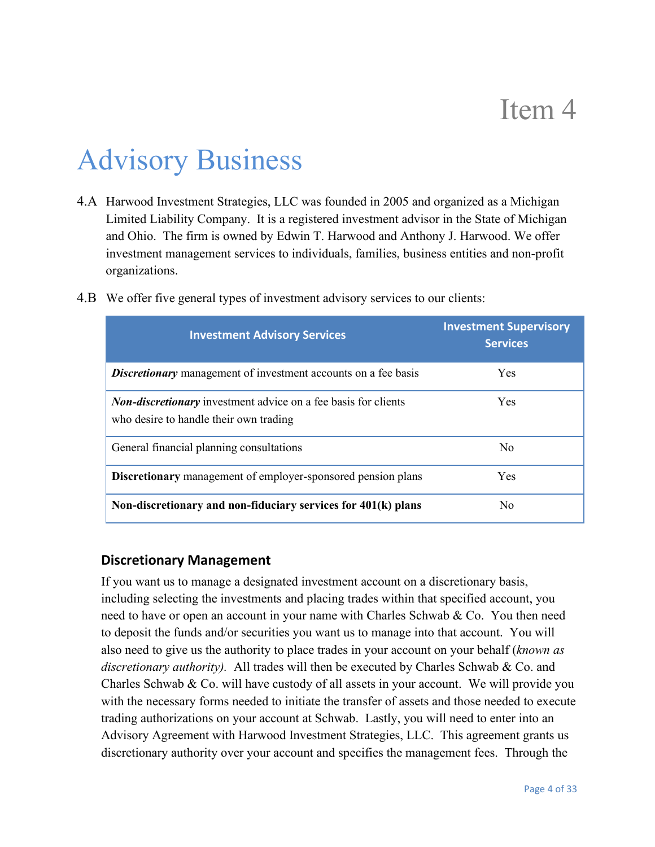# Advisory Business

4.A Harwood Investment Strategies, LLC was founded in 2005 and organized as a Michigan Limited Liability Company. It is a registered investment advisor in the State of Michigan and Ohio. The firm is owned by Edwin T. Harwood and Anthony J. Harwood. We offer investment management services to individuals, families, business entities and non-profit organizations.

| <b>Investment Advisory Services</b>                                                                             | <b>Investment Supervisory</b><br><b>Services</b> |
|-----------------------------------------------------------------------------------------------------------------|--------------------------------------------------|
| <b>Discretionary</b> management of investment accounts on a fee basis                                           | <b>Yes</b>                                       |
| <b>Non-discretionary</b> investment advice on a fee basis for clients<br>who desire to handle their own trading | <b>Yes</b>                                       |
| General financial planning consultations                                                                        | No                                               |
| <b>Discretionary</b> management of employer-sponsored pension plans                                             | <b>Yes</b>                                       |
| Non-discretionary and non-fiduciary services for 401(k) plans                                                   | No.                                              |

4.B We offer five general types of investment advisory services to our clients:

### **Discretionary Management**

If you want us to manage a designated investment account on a discretionary basis, including selecting the investments and placing trades within that specified account, you need to have or open an account in your name with Charles Schwab & Co. You then need to deposit the funds and/or securities you want us to manage into that account. You will also need to give us the authority to place trades in your account on your behalf (*known as discretionary authority).* All trades will then be executed by Charles Schwab & Co. and Charles Schwab & Co. will have custody of all assets in your account. We will provide you with the necessary forms needed to initiate the transfer of assets and those needed to execute trading authorizations on your account at Schwab. Lastly, you will need to enter into an Advisory Agreement with Harwood Investment Strategies, LLC. This agreement grants us discretionary authority over your account and specifies the management fees. Through the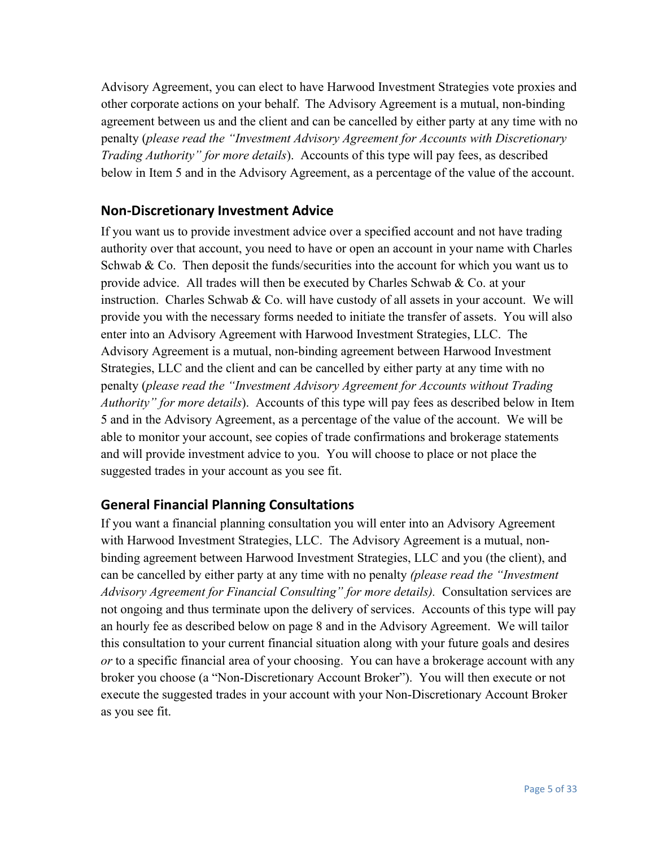Advisory Agreement, you can elect to have Harwood Investment Strategies vote proxies and other corporate actions on your behalf. The Advisory Agreement is a mutual, non-binding agreement between us and the client and can be cancelled by either party at any time with no penalty (*please read the "Investment Advisory Agreement for Accounts with Discretionary Trading Authority" for more details*). Accounts of this type will pay fees, as described below in Item 5 and in the Advisory Agreement, as a percentage of the value of the account.

### **Non-Discretionary Investment Advice**

If you want us to provide investment advice over a specified account and not have trading authority over that account, you need to have or open an account in your name with Charles Schwab & Co. Then deposit the funds/securities into the account for which you want us to provide advice. All trades will then be executed by Charles Schwab  $\&$  Co. at your instruction. Charles Schwab & Co. will have custody of all assets in your account. We will provide you with the necessary forms needed to initiate the transfer of assets. You will also enter into an Advisory Agreement with Harwood Investment Strategies, LLC. The Advisory Agreement is a mutual, non-binding agreement between Harwood Investment Strategies, LLC and the client and can be cancelled by either party at any time with no penalty (*please read the "Investment Advisory Agreement for Accounts without Trading Authority" for more details*). Accounts of this type will pay fees as described below in Item 5 and in the Advisory Agreement, as a percentage of the value of the account. We will be able to monitor your account, see copies of trade confirmations and brokerage statements and will provide investment advice to you. You will choose to place or not place the suggested trades in your account as you see fit.

### **General Financial Planning Consultations**

If you want a financial planning consultation you will enter into an Advisory Agreement with Harwood Investment Strategies, LLC. The Advisory Agreement is a mutual, nonbinding agreement between Harwood Investment Strategies, LLC and you (the client), and can be cancelled by either party at any time with no penalty *(please read the "Investment Advisory Agreement for Financial Consulting" for more details).* Consultation services are not ongoing and thus terminate upon the delivery of services. Accounts of this type will pay an hourly fee as described below on page 8 and in the Advisory Agreement. We will tailor this consultation to your current financial situation along with your future goals and desires *or* to a specific financial area of your choosing. You can have a brokerage account with any broker you choose (a "Non-Discretionary Account Broker"). You will then execute or not execute the suggested trades in your account with your Non-Discretionary Account Broker as you see fit.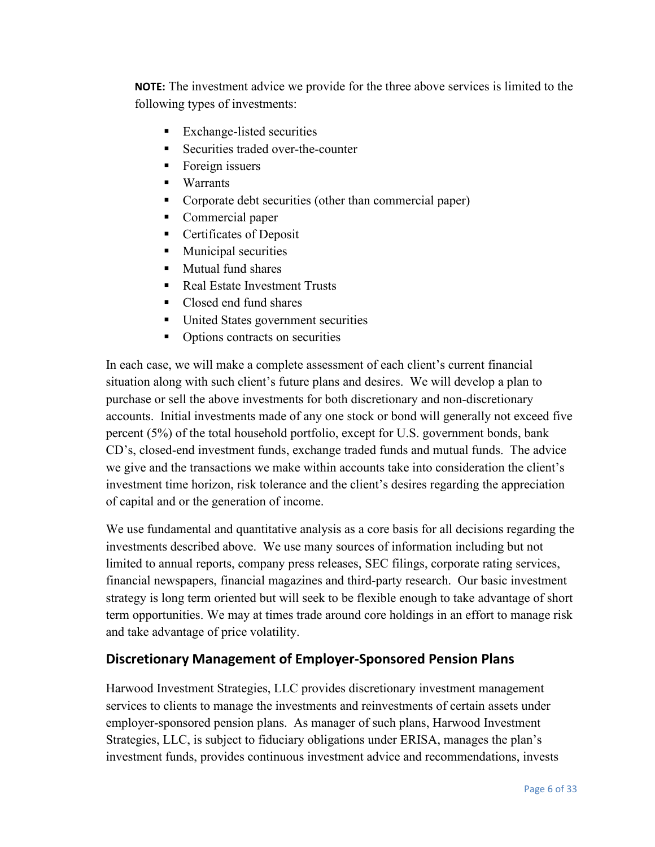**NOTE:** The investment advice we provide for the three above services is limited to the following types of investments:

- Exchange-listed securities
- Securities traded over-the-counter
- **Foreign issuers**
- **Warrants**
- **Corporate debt securities (other than commercial paper)**
- **Commercial paper**
- **Certificates of Deposit**
- **Municipal securities**
- **Mutual fund shares**
- Real Estate Investment Trusts
- Closed end fund shares
- **United States government securities**
- Options contracts on securities

In each case, we will make a complete assessment of each client's current financial situation along with such client's future plans and desires. We will develop a plan to purchase or sell the above investments for both discretionary and non-discretionary accounts. Initial investments made of any one stock or bond will generally not exceed five percent (5%) of the total household portfolio, except for U.S. government bonds, bank CD's, closed-end investment funds, exchange traded funds and mutual funds. The advice we give and the transactions we make within accounts take into consideration the client's investment time horizon, risk tolerance and the client's desires regarding the appreciation of capital and or the generation of income.

We use fundamental and quantitative analysis as a core basis for all decisions regarding the investments described above. We use many sources of information including but not limited to annual reports, company press releases, SEC filings, corporate rating services, financial newspapers, financial magazines and third-party research. Our basic investment strategy is long term oriented but will seek to be flexible enough to take advantage of short term opportunities. We may at times trade around core holdings in an effort to manage risk and take advantage of price volatility.

#### **Discretionary Management of Employer-Sponsored Pension Plans**

Harwood Investment Strategies, LLC provides discretionary investment management services to clients to manage the investments and reinvestments of certain assets under employer-sponsored pension plans. As manager of such plans, Harwood Investment Strategies, LLC, is subject to fiduciary obligations under ERISA, manages the plan's investment funds, provides continuous investment advice and recommendations, invests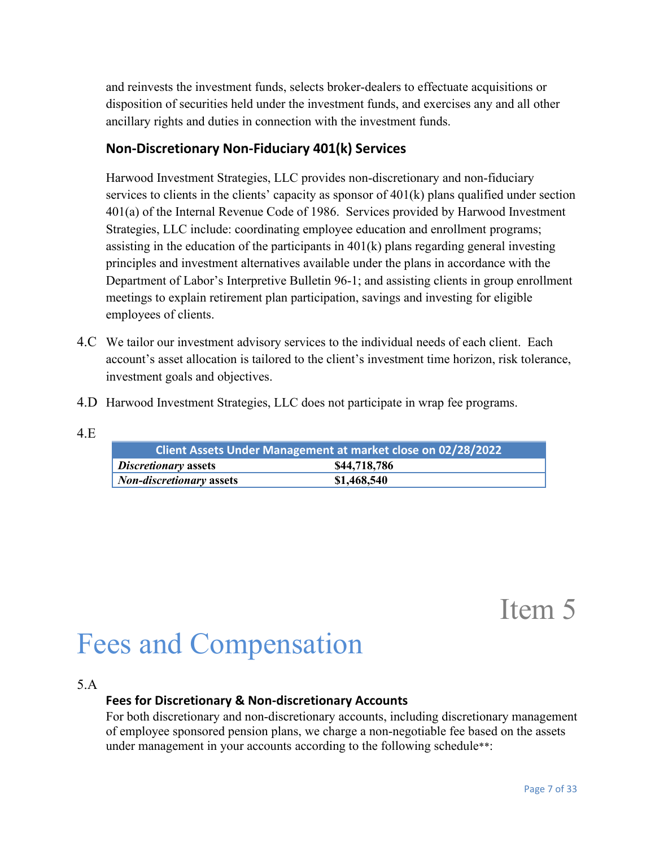and reinvests the investment funds, selects broker-dealers to effectuate acquisitions or disposition of securities held under the investment funds, and exercises any and all other ancillary rights and duties in connection with the investment funds.

### **Non-Discretionary Non-Fiduciary 401(k) Services**

Harwood Investment Strategies, LLC provides non-discretionary and non-fiduciary services to clients in the clients' capacity as sponsor of 401(k) plans qualified under section 401(a) of the Internal Revenue Code of 1986. Services provided by Harwood Investment Strategies, LLC include: coordinating employee education and enrollment programs; assisting in the education of the participants in 401(k) plans regarding general investing principles and investment alternatives available under the plans in accordance with the Department of Labor's Interpretive Bulletin 96-1; and assisting clients in group enrollment meetings to explain retirement plan participation, savings and investing for eligible employees of clients.

- 4.C We tailor our investment advisory services to the individual needs of each client. Each account's asset allocation is tailored to the client's investment time horizon, risk tolerance, investment goals and objectives.
- 4.D Harwood Investment Strategies, LLC does not participate in wrap fee programs.
- 4.E

| <b>Client Assets Under Management at market close on 02/28/2022</b> |              |  |  |  |
|---------------------------------------------------------------------|--------------|--|--|--|
| <b>Discretionary assets</b>                                         | \$44,718,786 |  |  |  |
| <b>Non-discretionary assets</b>                                     | \$1,468,540  |  |  |  |

Item 5

# Fees and Compensation

#### 5.A

#### **Fees for Discretionary & Non-discretionary Accounts**

For both discretionary and non-discretionary accounts, including discretionary management of employee sponsored pension plans, we charge a non-negotiable fee based on the assets under management in your accounts according to the following schedule\*\*: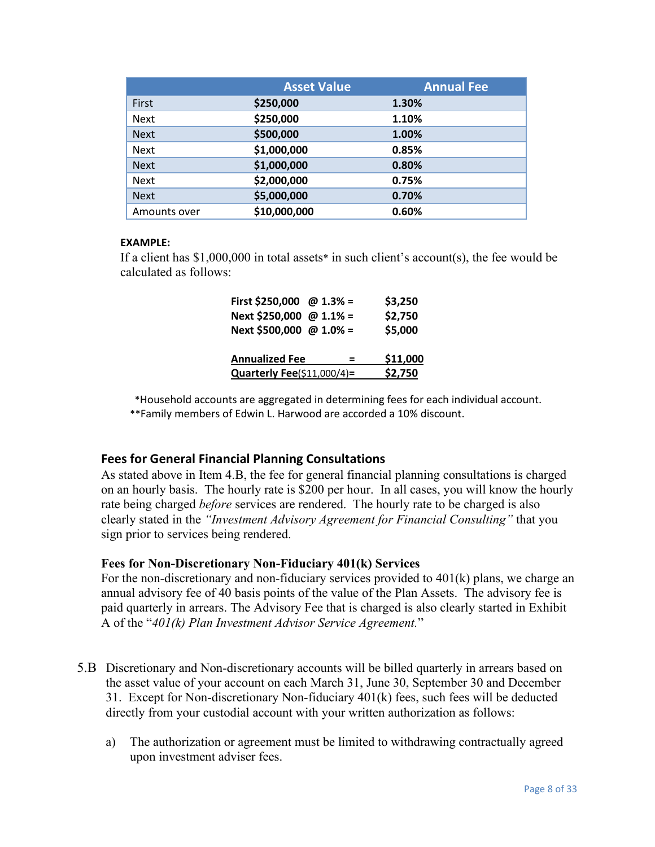|              | <b>Asset Value</b> | <b>Annual Fee</b> |
|--------------|--------------------|-------------------|
| First        | \$250,000          | 1.30%             |
| <b>Next</b>  | \$250,000          | 1.10%             |
| <b>Next</b>  | \$500,000          | 1.00%             |
| <b>Next</b>  | \$1,000,000        | 0.85%             |
| <b>Next</b>  | \$1,000,000        | 0.80%             |
| <b>Next</b>  | \$2,000,000        | 0.75%             |
| <b>Next</b>  | \$5,000,000        | 0.70%             |
| Amounts over | \$10,000,000       | 0.60%             |

#### **EXAMPLE:**

If a client has  $$1,000,000$  in total assets<sup>\*</sup> in such client's account(s), the fee would be calculated as follows:

| First \$250,000 @ 1.3% =          | \$3,250  |
|-----------------------------------|----------|
| Next \$250,000 @ 1.1% =           | \$2,750  |
| Next \$500,000 @ 1.0% =           | \$5,000  |
| <b>Annualized Fee</b><br>$\equiv$ | \$11,000 |
| Quarterly Fee(\$11,000/4)=        | \$2,750  |

\*Household accounts are aggregated in determining fees for each individual account. \*\*Family members of Edwin L. Harwood are accorded a 10% discount.

#### **Fees for General Financial Planning Consultations**

As stated above in Item 4.B, the fee for general financial planning consultations is charged on an hourly basis. The hourly rate is \$200 per hour. In all cases, you will know the hourly rate being charged *before* services are rendered. The hourly rate to be charged is also clearly stated in the *"Investment Advisory Agreement for Financial Consulting"* that you sign prior to services being rendered.

#### **Fees for Non-Discretionary Non-Fiduciary 401(k) Services**

For the non-discretionary and non-fiduciary services provided to 401(k) plans, we charge an annual advisory fee of 40 basis points of the value of the Plan Assets. The advisory fee is paid quarterly in arrears. The Advisory Fee that is charged is also clearly started in Exhibit A of the "*401(k) Plan Investment Advisor Service Agreement.*"

- 5.B Discretionary and Non-discretionary accounts will be billed quarterly in arrears based on the asset value of your account on each March 31, June 30, September 30 and December 31. Except for Non-discretionary Non-fiduciary 401(k) fees, such fees will be deducted directly from your custodial account with your written authorization as follows:
	- a) The authorization or agreement must be limited to withdrawing contractually agreed upon investment adviser fees.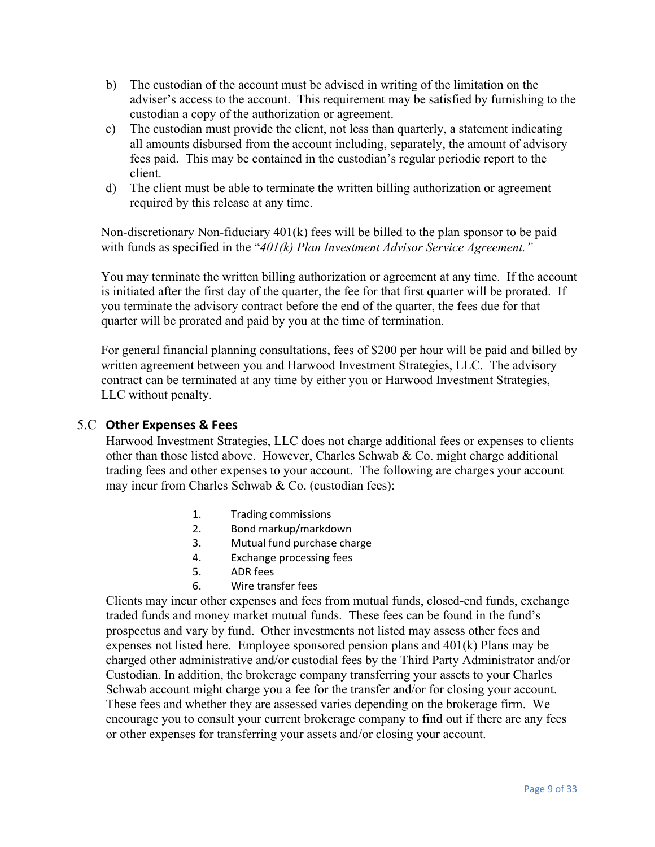- b) The custodian of the account must be advised in writing of the limitation on the adviser's access to the account. This requirement may be satisfied by furnishing to the custodian a copy of the authorization or agreement.
- c) The custodian must provide the client, not less than quarterly, a statement indicating all amounts disbursed from the account including, separately, the amount of advisory fees paid. This may be contained in the custodian's regular periodic report to the client.
- d) The client must be able to terminate the written billing authorization or agreement required by this release at any time.

Non-discretionary Non-fiduciary 401(k) fees will be billed to the plan sponsor to be paid with funds as specified in the "*401(k) Plan Investment Advisor Service Agreement."*

You may terminate the written billing authorization or agreement at any time. If the account is initiated after the first day of the quarter, the fee for that first quarter will be prorated. If you terminate the advisory contract before the end of the quarter, the fees due for that quarter will be prorated and paid by you at the time of termination.

For general financial planning consultations, fees of \$200 per hour will be paid and billed by written agreement between you and Harwood Investment Strategies, LLC. The advisory contract can be terminated at any time by either you or Harwood Investment Strategies, LLC without penalty.

#### 5.C **Other Expenses & Fees**

Harwood Investment Strategies, LLC does not charge additional fees or expenses to clients other than those listed above. However, Charles Schwab & Co. might charge additional trading fees and other expenses to your account. The following are charges your account may incur from Charles Schwab & Co. (custodian fees):

- 1. Trading commissions
- 2. Bond markup/markdown
- 3. Mutual fund purchase charge
- 4. Exchange processing fees
- 5. ADR fees
- 6. Wire transfer fees

Clients may incur other expenses and fees from mutual funds, closed-end funds, exchange traded funds and money market mutual funds. These fees can be found in the fund's prospectus and vary by fund. Other investments not listed may assess other fees and expenses not listed here. Employee sponsored pension plans and 401(k) Plans may be charged other administrative and/or custodial fees by the Third Party Administrator and/or Custodian. In addition, the brokerage company transferring your assets to your Charles Schwab account might charge you a fee for the transfer and/or for closing your account. These fees and whether they are assessed varies depending on the brokerage firm. We encourage you to consult your current brokerage company to find out if there are any fees or other expenses for transferring your assets and/or closing your account.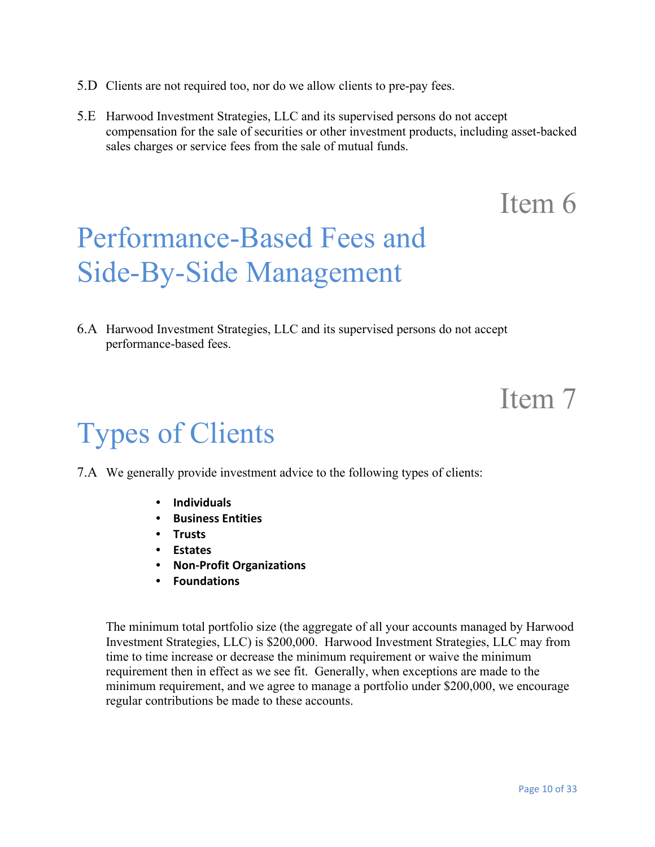- 5.D Clients are not required too, nor do we allow clients to pre-pay fees.
- 5.E Harwood Investment Strategies, LLC and its supervised persons do not accept compensation for the sale of securities or other investment products, including asset-backed sales charges or service fees from the sale of mutual funds.

# Performance-Based Fees and Side-By-Side Management

6.A Harwood Investment Strategies, LLC and its supervised persons do not accept performance-based fees.

### Item 7

## Types of Clients

- 7.A We generally provide investment advice to the following types of clients:
	- **Individuals**
	- **Business Entities**
	- **Trusts**
	- **Estates**
	- **Non-Profit Organizations**
	- **Foundations**

The minimum total portfolio size (the aggregate of all your accounts managed by Harwood Investment Strategies, LLC) is \$200,000. Harwood Investment Strategies, LLC may from time to time increase or decrease the minimum requirement or waive the minimum requirement then in effect as we see fit. Generally, when exceptions are made to the minimum requirement, and we agree to manage a portfolio under \$200,000, we encourage regular contributions be made to these accounts.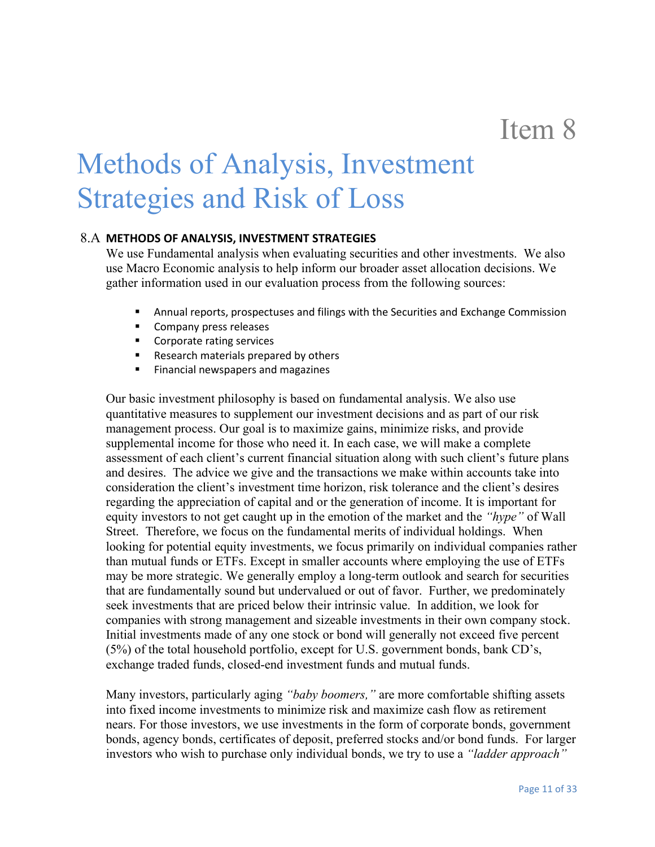# Methods of Analysis, Investment Strategies and Risk of Loss

#### 8.A **METHODS OF ANALYSIS, INVESTMENT STRATEGIES**

We use Fundamental analysis when evaluating securities and other investments. We also use Macro Economic analysis to help inform our broader asset allocation decisions. We gather information used in our evaluation process from the following sources:

- Annual reports, prospectuses and filings with the Securities and Exchange Commission
- Company press releases
- Corporate rating services
- Research materials prepared by others
- **Financial newspapers and magazines**

Our basic investment philosophy is based on fundamental analysis. We also use quantitative measures to supplement our investment decisions and as part of our risk management process. Our goal is to maximize gains, minimize risks, and provide supplemental income for those who need it. In each case, we will make a complete assessment of each client's current financial situation along with such client's future plans and desires. The advice we give and the transactions we make within accounts take into consideration the client's investment time horizon, risk tolerance and the client's desires regarding the appreciation of capital and or the generation of income. It is important for equity investors to not get caught up in the emotion of the market and the *"hype"* of Wall Street. Therefore, we focus on the fundamental merits of individual holdings. When looking for potential equity investments, we focus primarily on individual companies rather than mutual funds or ETFs. Except in smaller accounts where employing the use of ETFs may be more strategic. We generally employ a long-term outlook and search for securities that are fundamentally sound but undervalued or out of favor. Further, we predominately seek investments that are priced below their intrinsic value. In addition, we look for companies with strong management and sizeable investments in their own company stock. Initial investments made of any one stock or bond will generally not exceed five percent (5%) of the total household portfolio, except for U.S. government bonds, bank CD's, exchange traded funds, closed-end investment funds and mutual funds.

Many investors, particularly aging *"baby boomers,"* are more comfortable shifting assets into fixed income investments to minimize risk and maximize cash flow as retirement nears. For those investors, we use investments in the form of corporate bonds, government bonds, agency bonds, certificates of deposit, preferred stocks and/or bond funds. For larger investors who wish to purchase only individual bonds, we try to use a *"ladder approach"*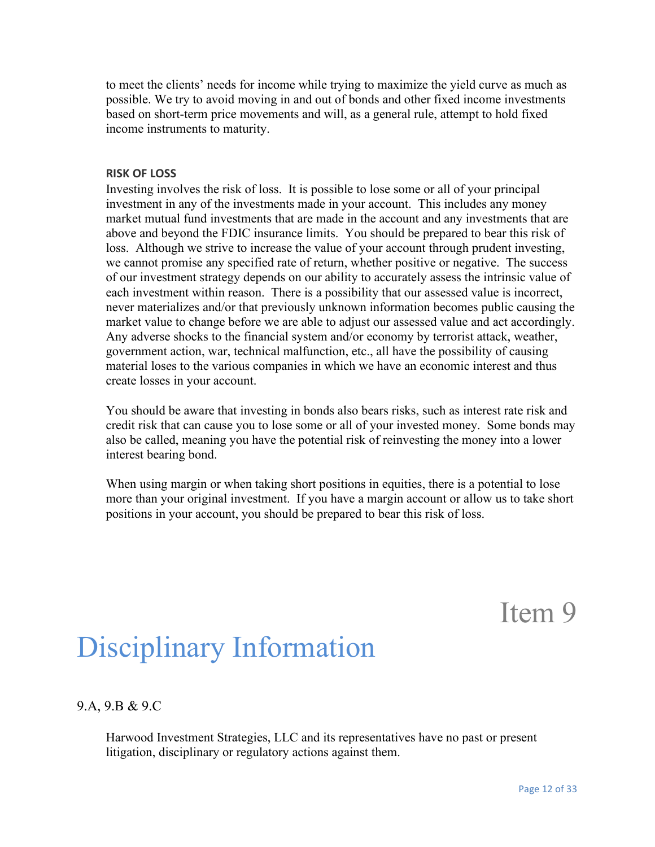to meet the clients' needs for income while trying to maximize the yield curve as much as possible. We try to avoid moving in and out of bonds and other fixed income investments based on short-term price movements and will, as a general rule, attempt to hold fixed income instruments to maturity.

#### **RISK OF LOSS**

Investing involves the risk of loss. It is possible to lose some or all of your principal investment in any of the investments made in your account. This includes any money market mutual fund investments that are made in the account and any investments that are above and beyond the FDIC insurance limits. You should be prepared to bear this risk of loss. Although we strive to increase the value of your account through prudent investing, we cannot promise any specified rate of return, whether positive or negative. The success of our investment strategy depends on our ability to accurately assess the intrinsic value of each investment within reason. There is a possibility that our assessed value is incorrect, never materializes and/or that previously unknown information becomes public causing the market value to change before we are able to adjust our assessed value and act accordingly. Any adverse shocks to the financial system and/or economy by terrorist attack, weather, government action, war, technical malfunction, etc., all have the possibility of causing material loses to the various companies in which we have an economic interest and thus create losses in your account.

You should be aware that investing in bonds also bears risks, such as interest rate risk and credit risk that can cause you to lose some or all of your invested money. Some bonds may also be called, meaning you have the potential risk of reinvesting the money into a lower interest bearing bond.

When using margin or when taking short positions in equities, there is a potential to lose more than your original investment. If you have a margin account or allow us to take short positions in your account, you should be prepared to bear this risk of loss.

Item 9

## Disciplinary Information

#### 9.A, 9.B & 9.C

Harwood Investment Strategies, LLC and its representatives have no past or present litigation, disciplinary or regulatory actions against them.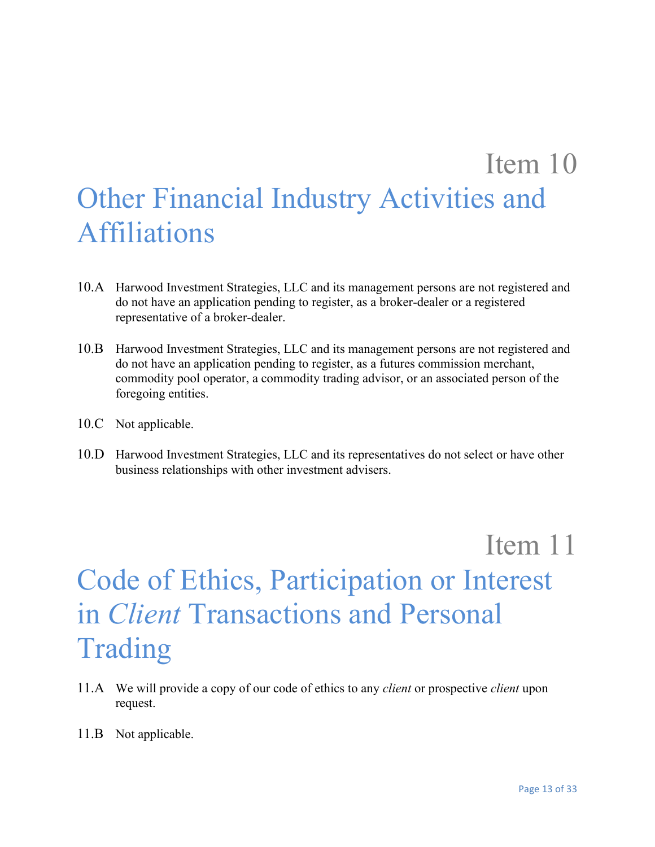# Item 10 Other Financial Industry Activities and **Affiliations**

- 10.A Harwood Investment Strategies, LLC and its management persons are not registered and do not have an application pending to register, as a broker-dealer or a registered representative of a broker-dealer.
- 10.B Harwood Investment Strategies, LLC and its management persons are not registered and do not have an application pending to register, as a futures commission merchant, commodity pool operator, a commodity trading advisor, or an associated person of the foregoing entities.
- 10.C Not applicable.
- 10.D Harwood Investment Strategies, LLC and its representatives do not select or have other business relationships with other investment advisers.

Item 11

# Code of Ethics, Participation or Interest in *Client* Transactions and Personal Trading

- 11.A We will provide a copy of our code of ethics to any *client* or prospective *client* upon request.
- 11.B Not applicable.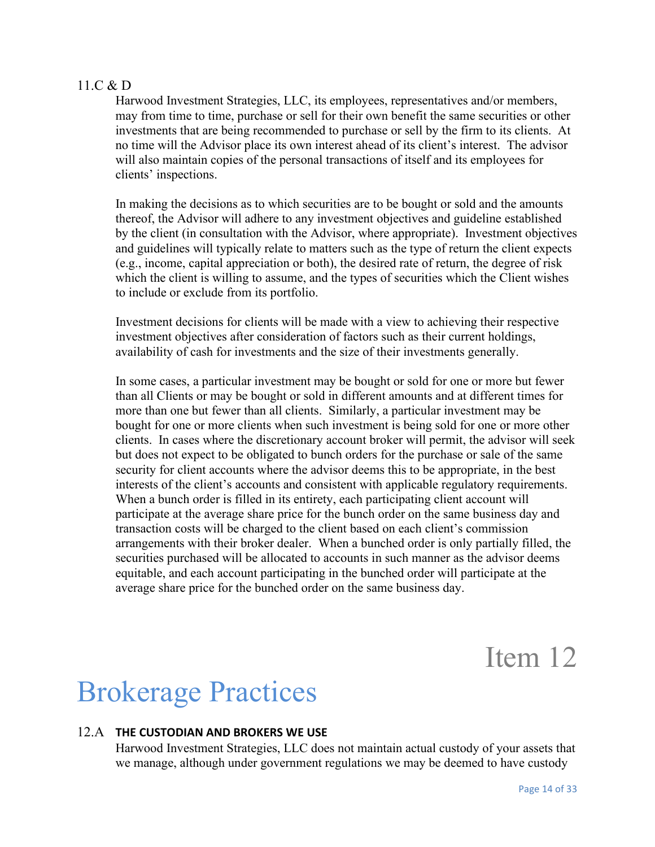#### 11.C & D

Harwood Investment Strategies, LLC, its employees, representatives and/or members, may from time to time, purchase or sell for their own benefit the same securities or other investments that are being recommended to purchase or sell by the firm to its clients. At no time will the Advisor place its own interest ahead of its client's interest. The advisor will also maintain copies of the personal transactions of itself and its employees for clients' inspections.

In making the decisions as to which securities are to be bought or sold and the amounts thereof, the Advisor will adhere to any investment objectives and guideline established by the client (in consultation with the Advisor, where appropriate). Investment objectives and guidelines will typically relate to matters such as the type of return the client expects (e.g., income, capital appreciation or both), the desired rate of return, the degree of risk which the client is willing to assume, and the types of securities which the Client wishes to include or exclude from its portfolio.

Investment decisions for clients will be made with a view to achieving their respective investment objectives after consideration of factors such as their current holdings, availability of cash for investments and the size of their investments generally.

In some cases, a particular investment may be bought or sold for one or more but fewer than all Clients or may be bought or sold in different amounts and at different times for more than one but fewer than all clients. Similarly, a particular investment may be bought for one or more clients when such investment is being sold for one or more other clients. In cases where the discretionary account broker will permit, the advisor will seek but does not expect to be obligated to bunch orders for the purchase or sale of the same security for client accounts where the advisor deems this to be appropriate, in the best interests of the client's accounts and consistent with applicable regulatory requirements. When a bunch order is filled in its entirety, each participating client account will participate at the average share price for the bunch order on the same business day and transaction costs will be charged to the client based on each client's commission arrangements with their broker dealer. When a bunched order is only partially filled, the securities purchased will be allocated to accounts in such manner as the advisor deems equitable, and each account participating in the bunched order will participate at the average share price for the bunched order on the same business day.

Item 12

## Brokerage Practices

#### 12.A **THE CUSTODIAN AND BROKERS WE USE**

Harwood Investment Strategies, LLC does not maintain actual custody of your assets that we manage, although under government regulations we may be deemed to have custody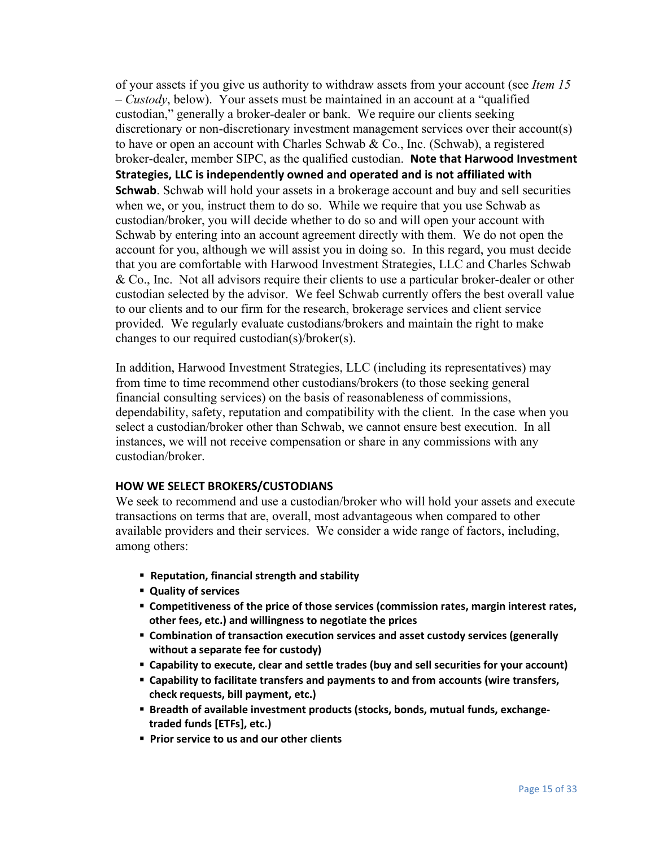of your assets if you give us authority to withdraw assets from your account (see *Item 15 – Custody*, below). Your assets must be maintained in an account at a "qualified custodian," generally a broker-dealer or bank. We require our clients seeking discretionary or non-discretionary investment management services over their account(s) to have or open an account with Charles Schwab & Co., Inc. (Schwab), a registered broker-dealer, member SIPC, as the qualified custodian. **Note that Harwood Investment Strategies, LLC is independently owned and operated and is not affiliated with Schwab**. Schwab will hold your assets in a brokerage account and buy and sell securities when we, or you, instruct them to do so. While we require that you use Schwab as custodian/broker, you will decide whether to do so and will open your account with Schwab by entering into an account agreement directly with them. We do not open the account for you, although we will assist you in doing so. In this regard, you must decide that you are comfortable with Harwood Investment Strategies, LLC and Charles Schwab & Co., Inc. Not all advisors require their clients to use a particular broker-dealer or other custodian selected by the advisor. We feel Schwab currently offers the best overall value to our clients and to our firm for the research, brokerage services and client service provided. We regularly evaluate custodians/brokers and maintain the right to make changes to our required custodian(s)/broker(s).

In addition, Harwood Investment Strategies, LLC (including its representatives) may from time to time recommend other custodians/brokers (to those seeking general financial consulting services) on the basis of reasonableness of commissions, dependability, safety, reputation and compatibility with the client. In the case when you select a custodian/broker other than Schwab, we cannot ensure best execution. In all instances, we will not receive compensation or share in any commissions with any custodian/broker.

#### **HOW WE SELECT BROKERS/CUSTODIANS**

We seek to recommend and use a custodian/broker who will hold your assets and execute transactions on terms that are, overall, most advantageous when compared to other available providers and their services. We consider a wide range of factors, including, among others:

- **▪ Reputation, financial strength and stability**
- **▪ Quality of services**
- **▪ Competitiveness of the price of those services (commission rates, margin interest rates, other fees, etc.) and willingness to negotiate the prices**
- **▪ Combination of transaction execution services and asset custody services (generally without a separate fee for custody)**
- **▪ Capability to execute, clear and settle trades (buy and sell securities for your account)**
- **▪ Capability to facilitate transfers and payments to and from accounts (wire transfers, check requests, bill payment, etc.)**
- **▪ Breadth of available investment products (stocks, bonds, mutual funds, exchangetraded funds [ETFs], etc.)**
- **▪ Prior service to us and our other clients**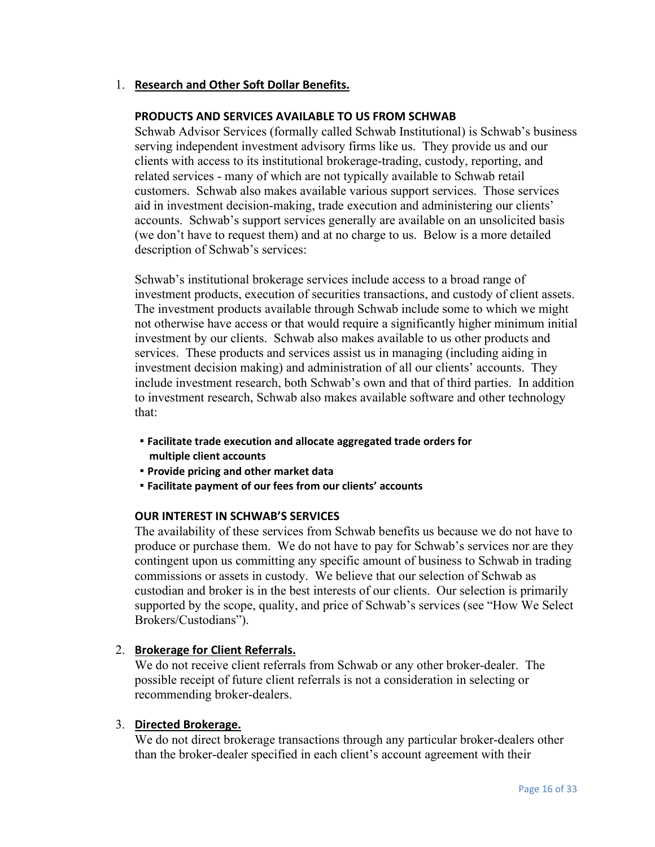#### 1. **Research and Other Soft Dollar Benefits.**

#### **PRODUCTS AND SERVICES AVAILABLE TO US FROM SCHWAB**

Schwab Advisor Services (formally called Schwab Institutional) is Schwab's business serving independent investment advisory firms like us. They provide us and our clients with access to its institutional brokerage-trading, custody, reporting, and related services - many of which are not typically available to Schwab retail customers. Schwab also makes available various support services. Those services aid in investment decision-making, trade execution and administering our clients' accounts. Schwab's support services generally are available on an unsolicited basis (we don't have to request them) and at no charge to us. Below is a more detailed description of Schwab's services:

Schwab's institutional brokerage services include access to a broad range of investment products, execution of securities transactions, and custody of client assets. The investment products available through Schwab include some to which we might not otherwise have access or that would require a significantly higher minimum initial investment by our clients. Schwab also makes available to us other products and services. These products and services assist us in managing (including aiding in investment decision making) and administration of all our clients' accounts. They include investment research, both Schwab's own and that of third parties. In addition to investment research, Schwab also makes available software and other technology that:

- **Facilitate trade execution and allocate aggregated trade orders for multiple client accounts**
- **Provide pricing and other market data**
- **Facilitate payment of our fees from our clients' accounts**

#### **OUR INTEREST IN SCHWAB'S SERVICES**

The availability of these services from Schwab benefits us because we do not have to produce or purchase them. We do not have to pay for Schwab's services nor are they contingent upon us committing any specific amount of business to Schwab in trading commissions or assets in custody. We believe that our selection of Schwab as custodian and broker is in the best interests of our clients. Our selection is primarily supported by the scope, quality, and price of Schwab's services (see "How We Select Brokers/Custodians").

#### 2. **Brokerage for Client Referrals.**

We do not receive client referrals from Schwab or any other broker-dealer. The possible receipt of future client referrals is not a consideration in selecting or recommending broker-dealers.

#### 3. **Directed Brokerage.**

We do not direct brokerage transactions through any particular broker-dealers other than the broker-dealer specified in each client's account agreement with their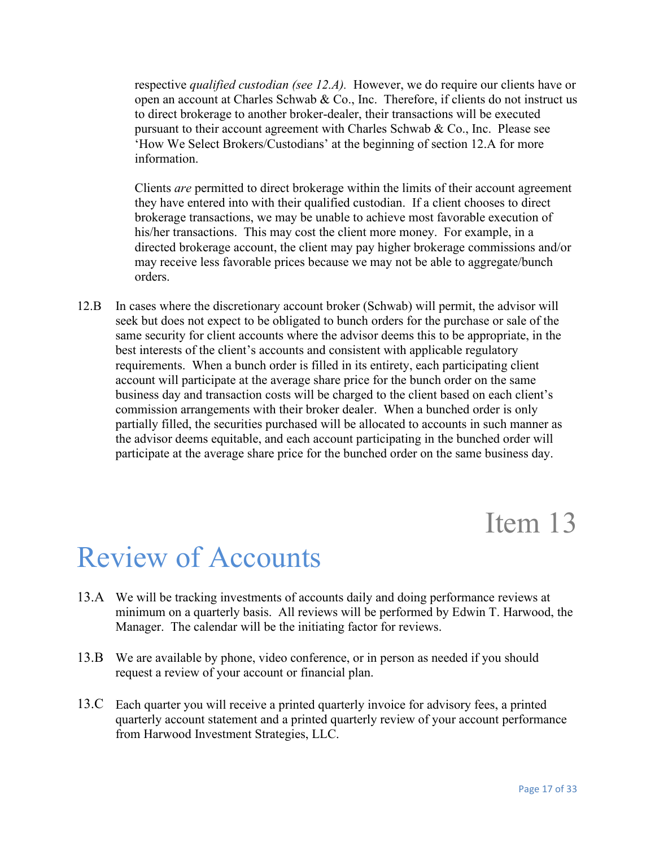respective *qualified custodian (see 12.A).* However, we do require our clients have or open an account at Charles Schwab & Co., Inc. Therefore, if clients do not instruct us to direct brokerage to another broker-dealer, their transactions will be executed pursuant to their account agreement with Charles Schwab & Co., Inc. Please see 'How We Select Brokers/Custodians' at the beginning of section 12.A for more information.

Clients *are* permitted to direct brokerage within the limits of their account agreement they have entered into with their qualified custodian. If a client chooses to direct brokerage transactions, we may be unable to achieve most favorable execution of his/her transactions. This may cost the client more money. For example, in a directed brokerage account, the client may pay higher brokerage commissions and/or may receive less favorable prices because we may not be able to aggregate/bunch orders.

12.B In cases where the discretionary account broker (Schwab) will permit, the advisor will seek but does not expect to be obligated to bunch orders for the purchase or sale of the same security for client accounts where the advisor deems this to be appropriate, in the best interests of the client's accounts and consistent with applicable regulatory requirements. When a bunch order is filled in its entirety, each participating client account will participate at the average share price for the bunch order on the same business day and transaction costs will be charged to the client based on each client's commission arrangements with their broker dealer. When a bunched order is only partially filled, the securities purchased will be allocated to accounts in such manner as the advisor deems equitable, and each account participating in the bunched order will participate at the average share price for the bunched order on the same business day.

### Item 13

## Review of Accounts

- 13.A We will be tracking investments of accounts daily and doing performance reviews at minimum on a quarterly basis. All reviews will be performed by Edwin T. Harwood, the Manager. The calendar will be the initiating factor for reviews.
- 13.B We are available by phone, video conference, or in person as needed if you should request a review of your account or financial plan.
- 13.C Each quarter you will receive a printed quarterly invoice for advisory fees, a printed quarterly account statement and a printed quarterly review of your account performance from Harwood Investment Strategies, LLC.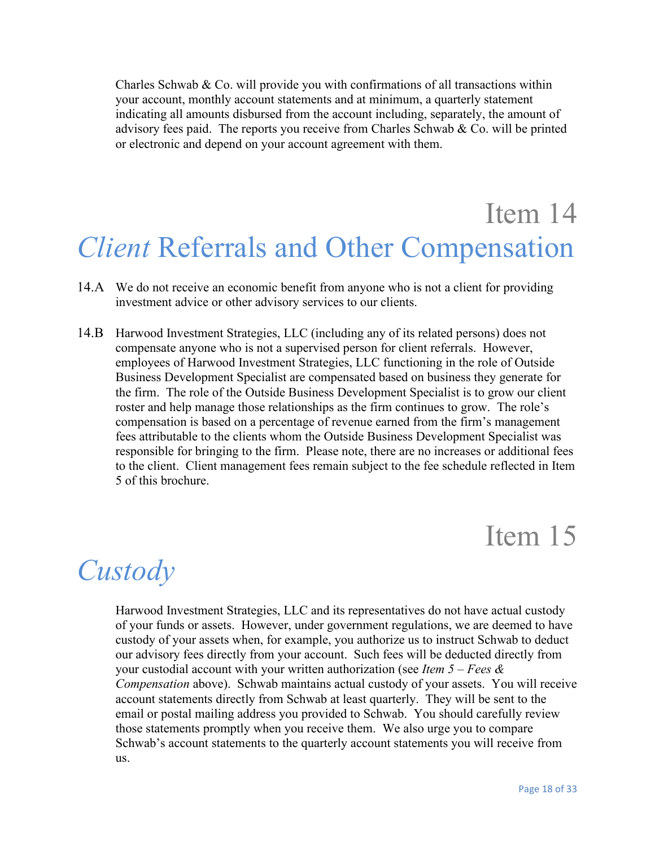Charles Schwab & Co. will provide you with confirmations of all transactions within your account, monthly account statements and at minimum, a quarterly statement indicating all amounts disbursed from the account including, separately, the amount of advisory fees paid. The reports you receive from Charles Schwab & Co. will be printed or electronic and depend on your account agreement with them.

## Item 14 *Client* Referrals and Other Compensation

- 14.A We do not receive an economic benefit from anyone who is not a client for providing investment advice or other advisory services to our clients.
- 14.B Harwood Investment Strategies, LLC (including any of its related persons) does not compensate anyone who is not a supervised person for client referrals. However, employees of Harwood Investment Strategies, LLC functioning in the role of Outside Business Development Specialist are compensated based on business they generate for the firm. The role of the Outside Business Development Specialist is to grow our client roster and help manage those relationships as the firm continues to grow. The role's compensation is based on a percentage of revenue earned from the firm's management fees attributable to the clients whom the Outside Business Development Specialist was responsible for bringing to the firm. Please note, there are no increases or additional fees to the client. Client management fees remain subject to the fee schedule reflected in Item 5 of this brochure.

### Item 15

### *Custody*

Harwood Investment Strategies, LLC and its representatives do not have actual custody of your funds or assets. However, under government regulations, we are deemed to have custody of your assets when, for example, you authorize us to instruct Schwab to deduct our advisory fees directly from your account. Such fees will be deducted directly from your custodial account with your written authorization (see *Item 5 – Fees & Compensation* above). Schwab maintains actual custody of your assets. You will receive account statements directly from Schwab at least quarterly. They will be sent to the email or postal mailing address you provided to Schwab. You should carefully review those statements promptly when you receive them. We also urge you to compare Schwab's account statements to the quarterly account statements you will receive from us.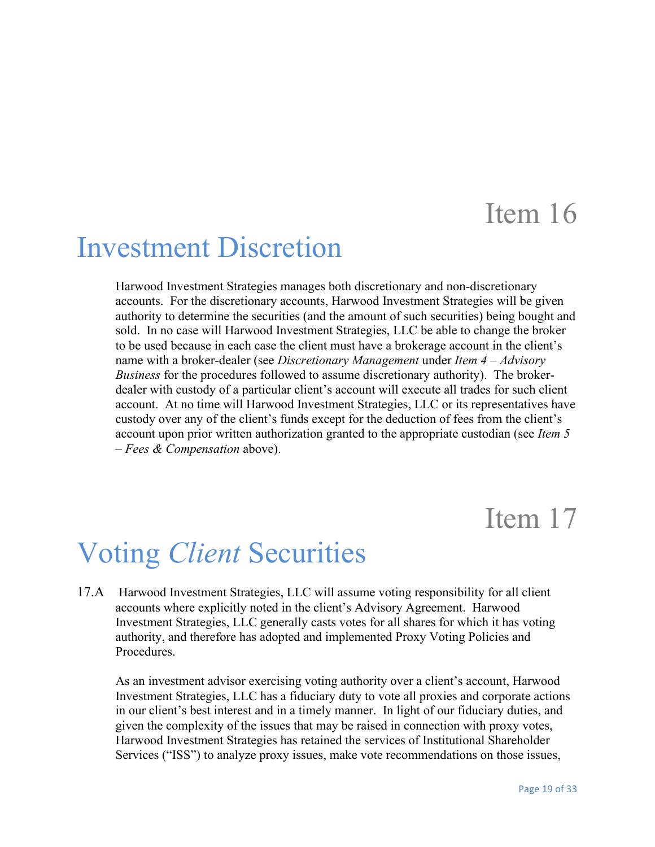### Investment Discretion

Harwood Investment Strategies manages both discretionary and non-discretionary accounts. For the discretionary accounts, Harwood Investment Strategies will be given authority to determine the securities (and the amount of such securities) being bought and sold. In no case will Harwood Investment Strategies, LLC be able to change the broker to be used because in each case the client must have a brokerage account in the client's name with a broker-dealer (see *Discretionary Management* under *Item 4 – Advisory Business* for the procedures followed to assume discretionary authority). The brokerdealer with custody of a particular client's account will execute all trades for such client account. At no time will Harwood Investment Strategies, LLC or its representatives have custody over any of the client's funds except for the deduction of fees from the client's account upon prior written authorization granted to the appropriate custodian (see *Item 5 – Fees & Compensation* above).

## Item 17

# Voting *Client* Securities

17.A Harwood Investment Strategies, LLC will assume voting responsibility for all client accounts where explicitly noted in the client's Advisory Agreement. Harwood Investment Strategies, LLC generally casts votes for all shares for which it has voting authority, and therefore has adopted and implemented Proxy Voting Policies and Procedures.

As an investment advisor exercising voting authority over a client's account, Harwood Investment Strategies, LLC has a fiduciary duty to vote all proxies and corporate actions in our client's best interest and in a timely manner. In light of our fiduciary duties, and given the complexity of the issues that may be raised in connection with proxy votes, Harwood Investment Strategies has retained the services of Institutional Shareholder Services ("ISS") to analyze proxy issues, make vote recommendations on those issues,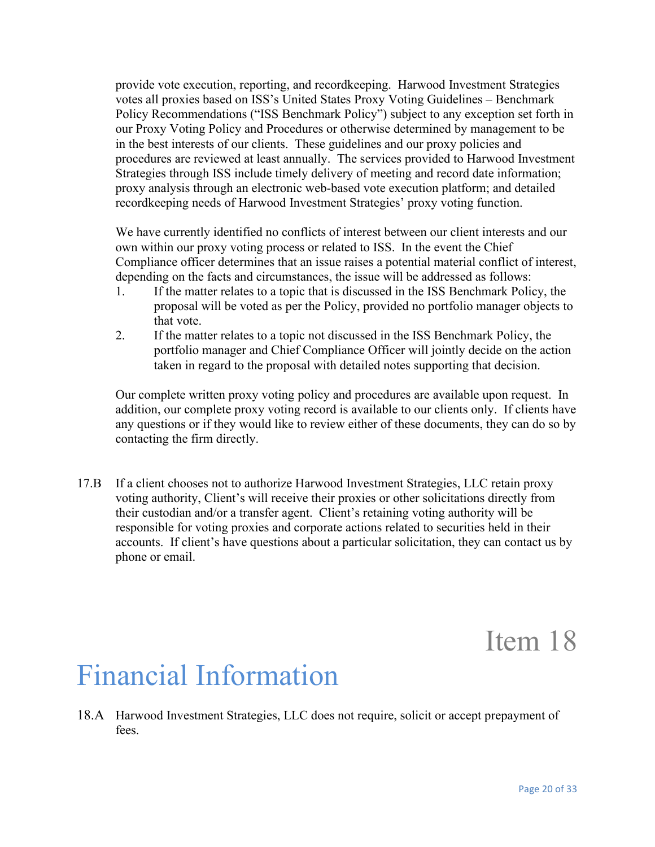provide vote execution, reporting, and recordkeeping. Harwood Investment Strategies votes all proxies based on ISS's United States Proxy Voting Guidelines – Benchmark Policy Recommendations ("ISS Benchmark Policy") subject to any exception set forth in our Proxy Voting Policy and Procedures or otherwise determined by management to be in the best interests of our clients. These guidelines and our proxy policies and procedures are reviewed at least annually. The services provided to Harwood Investment Strategies through ISS include timely delivery of meeting and record date information; proxy analysis through an electronic web-based vote execution platform; and detailed recordkeeping needs of Harwood Investment Strategies' proxy voting function.

We have currently identified no conflicts of interest between our client interests and our own within our proxy voting process or related to ISS. In the event the Chief Compliance officer determines that an issue raises a potential material conflict of interest, depending on the facts and circumstances, the issue will be addressed as follows:

- 1. If the matter relates to a topic that is discussed in the ISS Benchmark Policy, the proposal will be voted as per the Policy, provided no portfolio manager objects to that vote.
- 2. If the matter relates to a topic not discussed in the ISS Benchmark Policy, the portfolio manager and Chief Compliance Officer will jointly decide on the action taken in regard to the proposal with detailed notes supporting that decision.

Our complete written proxy voting policy and procedures are available upon request. In addition, our complete proxy voting record is available to our clients only. If clients have any questions or if they would like to review either of these documents, they can do so by contacting the firm directly.

17.B If a client chooses not to authorize Harwood Investment Strategies, LLC retain proxy voting authority, Client's will receive their proxies or other solicitations directly from their custodian and/or a transfer agent. Client's retaining voting authority will be responsible for voting proxies and corporate actions related to securities held in their accounts. If client's have questions about a particular solicitation, they can contact us by phone or email.

Item 18

## Financial Information

18.A Harwood Investment Strategies, LLC does not require, solicit or accept prepayment of fees.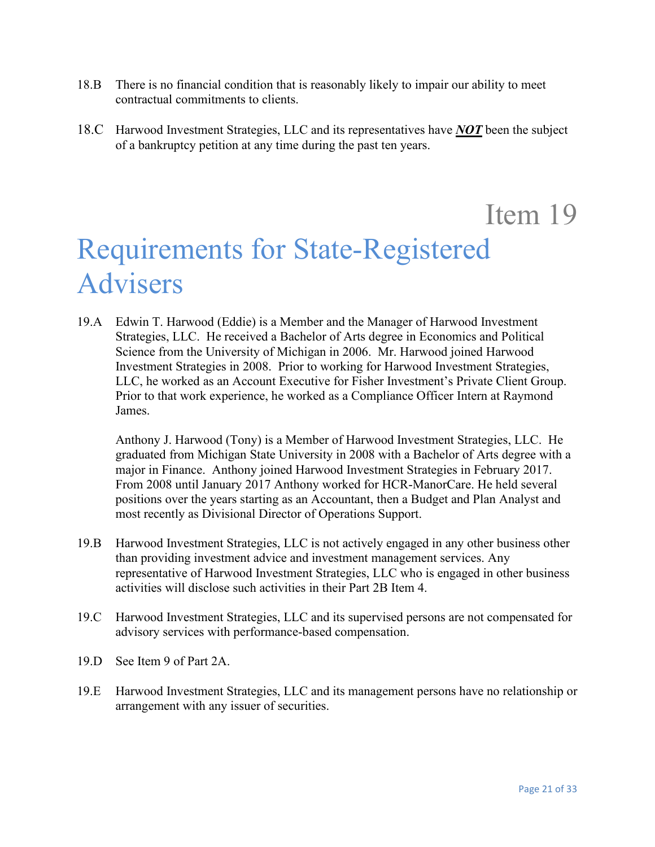- 18.B There is no financial condition that is reasonably likely to impair our ability to meet contractual commitments to clients.
- 18.C Harwood Investment Strategies, LLC and its representatives have *NOT* been the subject of a bankruptcy petition at any time during the past ten years.

## Item 19 Requirements for State-Registered Advisers

19.A Edwin T. Harwood (Eddie) is a Member and the Manager of Harwood Investment Strategies, LLC. He received a Bachelor of Arts degree in Economics and Political Science from the University of Michigan in 2006. Mr. Harwood joined Harwood Investment Strategies in 2008. Prior to working for Harwood Investment Strategies, LLC, he worked as an Account Executive for Fisher Investment's Private Client Group. Prior to that work experience, he worked as a Compliance Officer Intern at Raymond James.

Anthony J. Harwood (Tony) is a Member of Harwood Investment Strategies, LLC. He graduated from Michigan State University in 2008 with a Bachelor of Arts degree with a major in Finance. Anthony joined Harwood Investment Strategies in February 2017. From 2008 until January 2017 Anthony worked for HCR-ManorCare. He held several positions over the years starting as an Accountant, then a Budget and Plan Analyst and most recently as Divisional Director of Operations Support.

- 19.B Harwood Investment Strategies, LLC is not actively engaged in any other business other than providing investment advice and investment management services. Any representative of Harwood Investment Strategies, LLC who is engaged in other business activities will disclose such activities in their Part 2B Item 4.
- 19.C Harwood Investment Strategies, LLC and its supervised persons are not compensated for advisory services with performance-based compensation.
- 19.D See Item 9 of Part 2A.
- 19.E Harwood Investment Strategies, LLC and its management persons have no relationship or arrangement with any issuer of securities.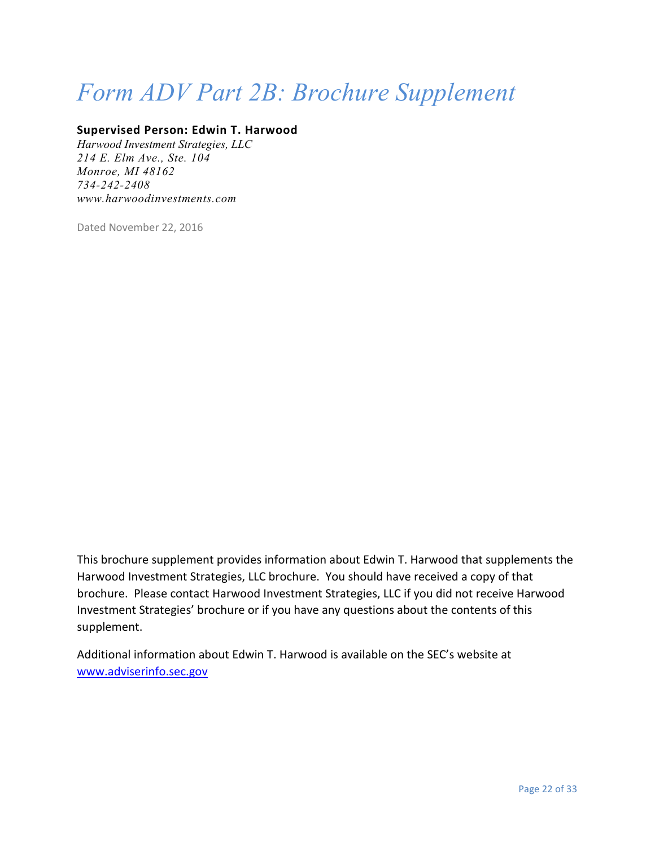## *Form ADV Part 2B: Brochure Supplement*

#### **Supervised Person: Edwin T. Harwood**

*Harwood Investment Strategies, LLC 214 E. Elm Ave., Ste. 104 Monroe, MI 48162 734-242-2408 [www.harwoodinvestments.com](http://www.harwoodinvestments.com/)*

Dated November 22, 2016

This brochure supplement provides information about Edwin T. Harwood that supplements the Harwood Investment Strategies, LLC brochure. You should have received a copy of that brochure. Please contact Harwood Investment Strategies, LLC if you did not receive Harwood Investment Strategies' brochure or if you have any questions about the contents of this supplement.

Additional information about Edwin T. Harwood is available on the SEC's website at [www.adviserinfo.sec.gov](http://www.adviserinfo.sec.gov/)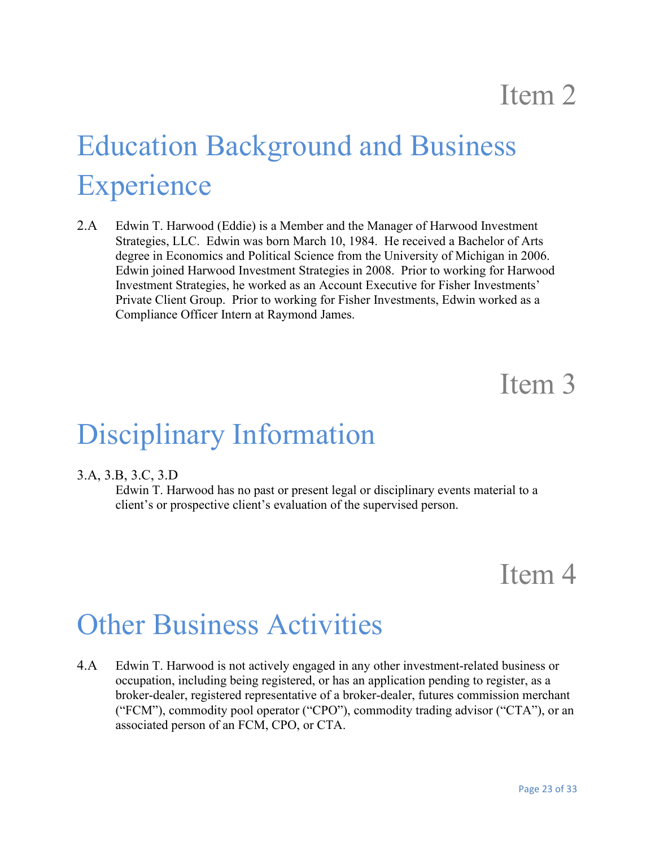# Education Background and Business **Experience**

2.A Edwin T. Harwood (Eddie) is a Member and the Manager of Harwood Investment Strategies, LLC. Edwin was born March 10, 1984. He received a Bachelor of Arts degree in Economics and Political Science from the University of Michigan in 2006. Edwin joined Harwood Investment Strategies in 2008. Prior to working for Harwood Investment Strategies, he worked as an Account Executive for Fisher Investments' Private Client Group. Prior to working for Fisher Investments, Edwin worked as a Compliance Officer Intern at Raymond James.

### Item 3

## Disciplinary Information

#### 3.A, 3.B, 3.C, 3.D

Edwin T. Harwood has no past or present legal or disciplinary events material to a client's or prospective client's evaluation of the supervised person.

### Item 4

### Other Business Activities

4.A Edwin T. Harwood is not actively engaged in any other investment-related business or occupation, including being registered, or has an application pending to register, as a broker-dealer, registered representative of a broker-dealer, futures commission merchant ("FCM"), commodity pool operator ("CPO"), commodity trading advisor ("CTA"), or an associated person of an FCM, CPO, or CTA.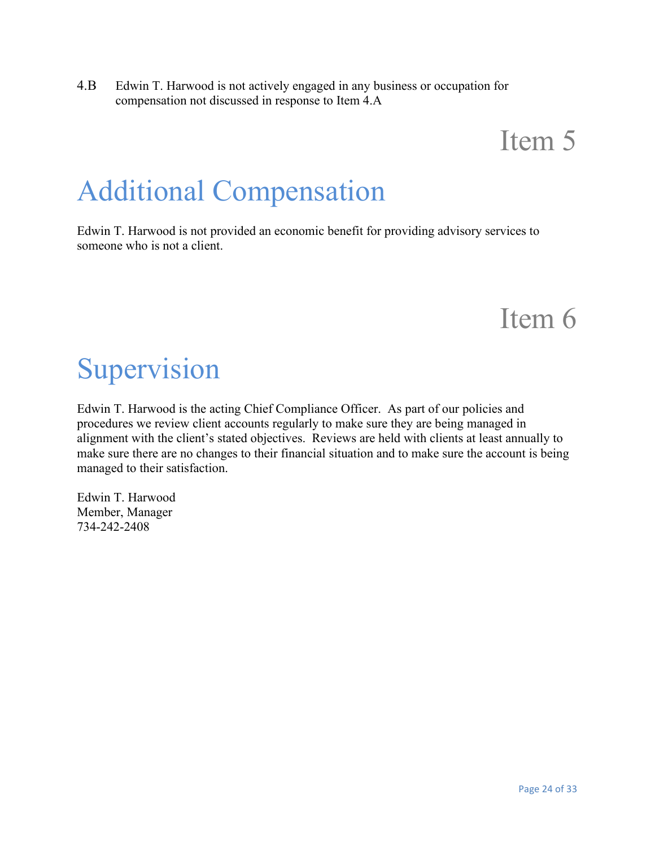4.B Edwin T. Harwood is not actively engaged in any business or occupation for compensation not discussed in response to Item 4.A

## Item 5

# Additional Compensation

Edwin T. Harwood is not provided an economic benefit for providing advisory services to someone who is not a client.

### Item 6

## Supervision

Edwin T. Harwood is the acting Chief Compliance Officer. As part of our policies and procedures we review client accounts regularly to make sure they are being managed in alignment with the client's stated objectives. Reviews are held with clients at least annually to make sure there are no changes to their financial situation and to make sure the account is being managed to their satisfaction.

Edwin T. Harwood Member, Manager 734-242-2408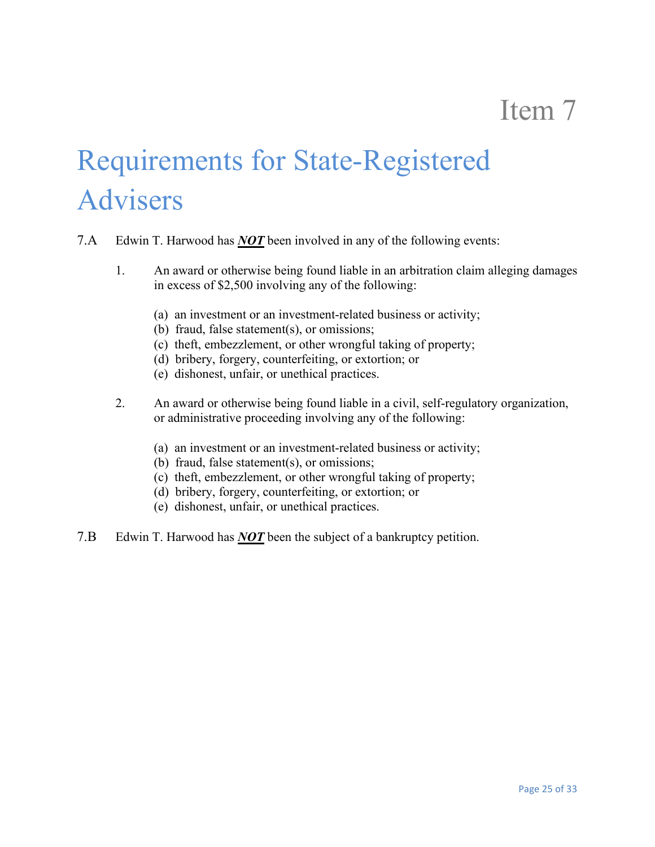# Requirements for State-Registered Advisers

- 7.A Edwin T. Harwood has *NOT* been involved in any of the following events:
	- 1. An award or otherwise being found liable in an arbitration claim alleging damages in excess of \$2,500 involving any of the following:
		- (a) an investment or an investment-related business or activity;
		- (b) fraud, false statement(s), or omissions;
		- (c) theft, embezzlement, or other wrongful taking of property;
		- (d) bribery, forgery, counterfeiting, or extortion; or
		- (e) dishonest, unfair, or unethical practices.
	- 2. An award or otherwise being found liable in a civil, self-regulatory organization, or administrative proceeding involving any of the following:
		- (a) an investment or an investment-related business or activity;
		- (b) fraud, false statement(s), or omissions;
		- (c) theft, embezzlement, or other wrongful taking of property;
		- (d) bribery, forgery, counterfeiting, or extortion; or
		- (e) dishonest, unfair, or unethical practices.
- 7.B Edwin T. Harwood has *NOT* been the subject of a bankruptcy petition.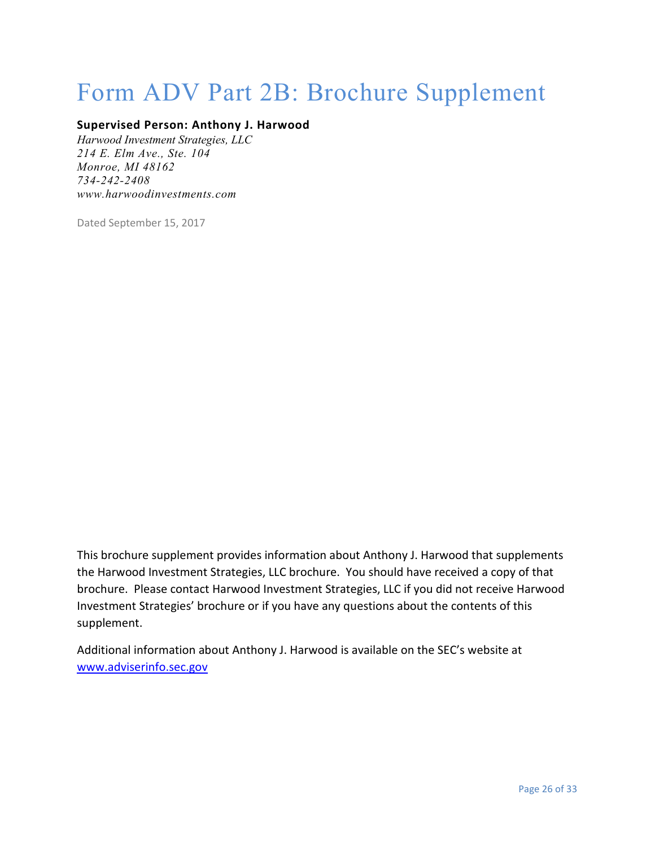## Form ADV Part 2B: Brochure Supplement

#### **Supervised Person: Anthony J. Harwood**

*Harwood Investment Strategies, LLC 214 E. Elm Ave., Ste. 104 Monroe, MI 48162 734-242-2408 [www.harwoodinvestments.com](http://www.harwoodinvestments.com/)*

Dated September 15, 2017

This brochure supplement provides information about Anthony J. Harwood that supplements the Harwood Investment Strategies, LLC brochure. You should have received a copy of that brochure. Please contact Harwood Investment Strategies, LLC if you did not receive Harwood Investment Strategies' brochure or if you have any questions about the contents of this supplement.

Additional information about Anthony J. Harwood is available on the SEC's website at [www.adviserinfo.sec.gov](http://www.adviserinfo.sec.gov/)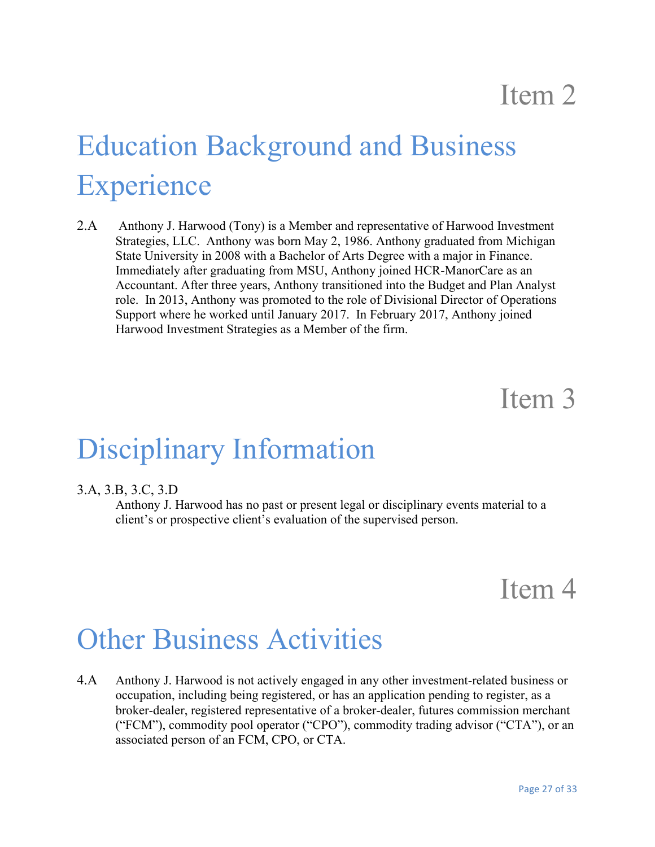# Education Background and Business **Experience**

2.A Anthony J. Harwood (Tony) is a Member and representative of Harwood Investment Strategies, LLC. Anthony was born May 2, 1986. Anthony graduated from Michigan State University in 2008 with a Bachelor of Arts Degree with a major in Finance. Immediately after graduating from MSU, Anthony joined HCR-ManorCare as an Accountant. After three years, Anthony transitioned into the Budget and Plan Analyst role. In 2013, Anthony was promoted to the role of Divisional Director of Operations Support where he worked until January 2017. In February 2017, Anthony joined Harwood Investment Strategies as a Member of the firm.

### Item 3

### Disciplinary Information

#### 3.A, 3.B, 3.C, 3.D

Anthony J. Harwood has no past or present legal or disciplinary events material to a client's or prospective client's evaluation of the supervised person.

### Item 4

### Other Business Activities

4.A Anthony J. Harwood is not actively engaged in any other investment-related business or occupation, including being registered, or has an application pending to register, as a broker-dealer, registered representative of a broker-dealer, futures commission merchant ("FCM"), commodity pool operator ("CPO"), commodity trading advisor ("CTA"), or an associated person of an FCM, CPO, or CTA.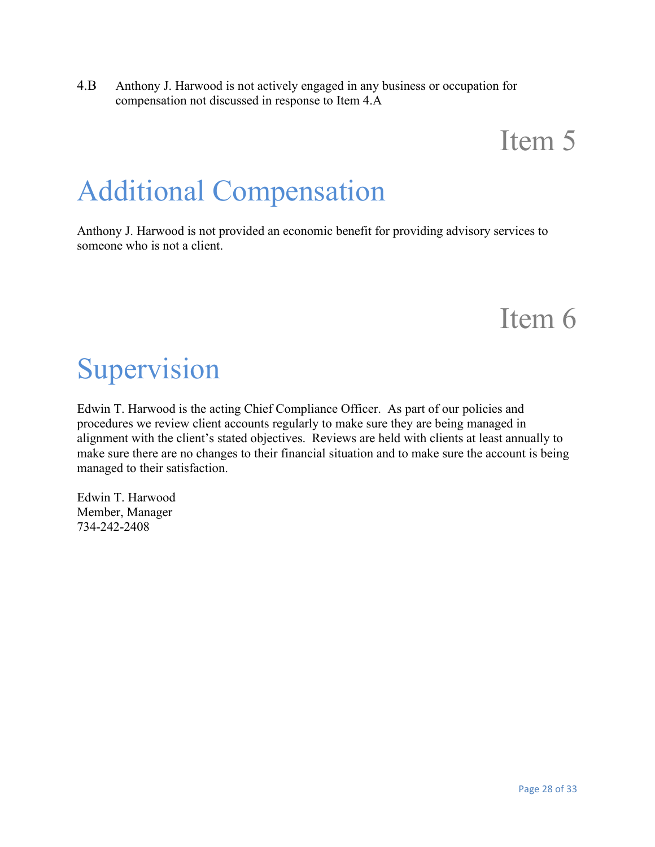4.B Anthony J. Harwood is not actively engaged in any business or occupation for compensation not discussed in response to Item 4.A

## Item 5

# Additional Compensation

Anthony J. Harwood is not provided an economic benefit for providing advisory services to someone who is not a client.

### Item 6

# Supervision

Edwin T. Harwood is the acting Chief Compliance Officer. As part of our policies and procedures we review client accounts regularly to make sure they are being managed in alignment with the client's stated objectives. Reviews are held with clients at least annually to make sure there are no changes to their financial situation and to make sure the account is being managed to their satisfaction.

Edwin T. Harwood Member, Manager 734-242-2408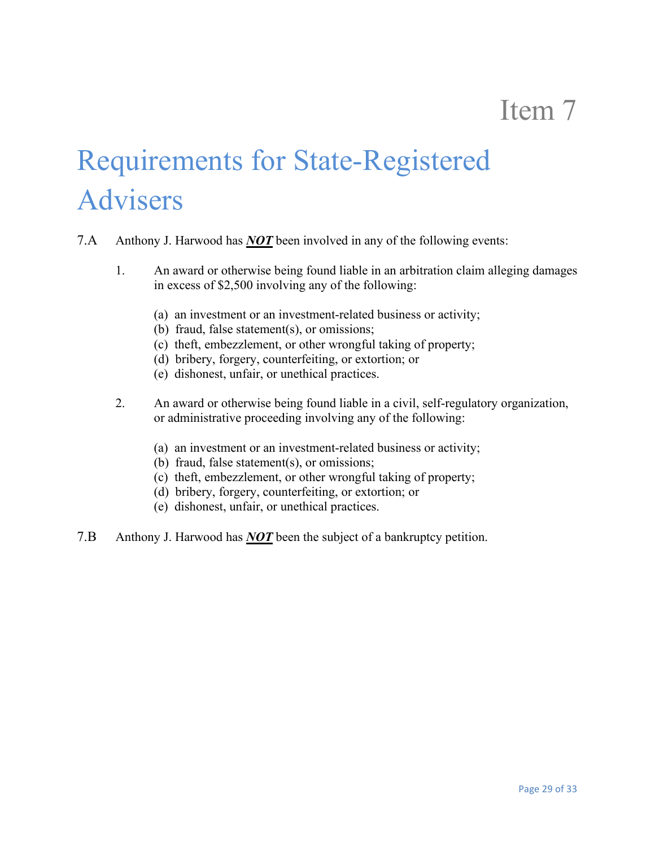# Requirements for State-Registered Advisers

- 7.A Anthony J. Harwood has *NOT* been involved in any of the following events:
	- 1. An award or otherwise being found liable in an arbitration claim alleging damages in excess of \$2,500 involving any of the following:
		- (a) an investment or an investment-related business or activity;
		- (b) fraud, false statement(s), or omissions;
		- (c) theft, embezzlement, or other wrongful taking of property;
		- (d) bribery, forgery, counterfeiting, or extortion; or
		- (e) dishonest, unfair, or unethical practices.
	- 2. An award or otherwise being found liable in a civil, self-regulatory organization, or administrative proceeding involving any of the following:
		- (a) an investment or an investment-related business or activity;
		- (b) fraud, false statement(s), or omissions;
		- (c) theft, embezzlement, or other wrongful taking of property;
		- (d) bribery, forgery, counterfeiting, or extortion; or
		- (e) dishonest, unfair, or unethical practices.
- 7.B Anthony J. Harwood has *NOT* been the subject of a bankruptcy petition.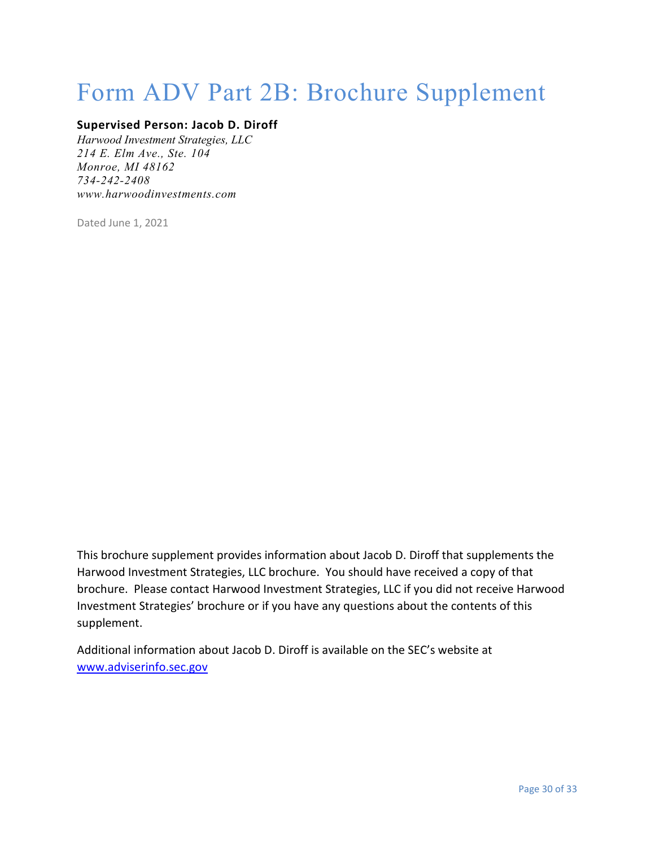## Form ADV Part 2B: Brochure Supplement

#### **Supervised Person: Jacob D. Diroff**

*Harwood Investment Strategies, LLC 214 E. Elm Ave., Ste. 104 Monroe, MI 48162 734-242-2408 [www.harwoodinvestments.com](http://www.harwoodinvestments.com/)*

Dated June 1, 2021

This brochure supplement provides information about Jacob D. Diroff that supplements the Harwood Investment Strategies, LLC brochure. You should have received a copy of that brochure. Please contact Harwood Investment Strategies, LLC if you did not receive Harwood Investment Strategies' brochure or if you have any questions about the contents of this supplement.

Additional information about Jacob D. Diroff is available on the SEC's website at [www.adviserinfo.sec.gov](http://www.adviserinfo.sec.gov/)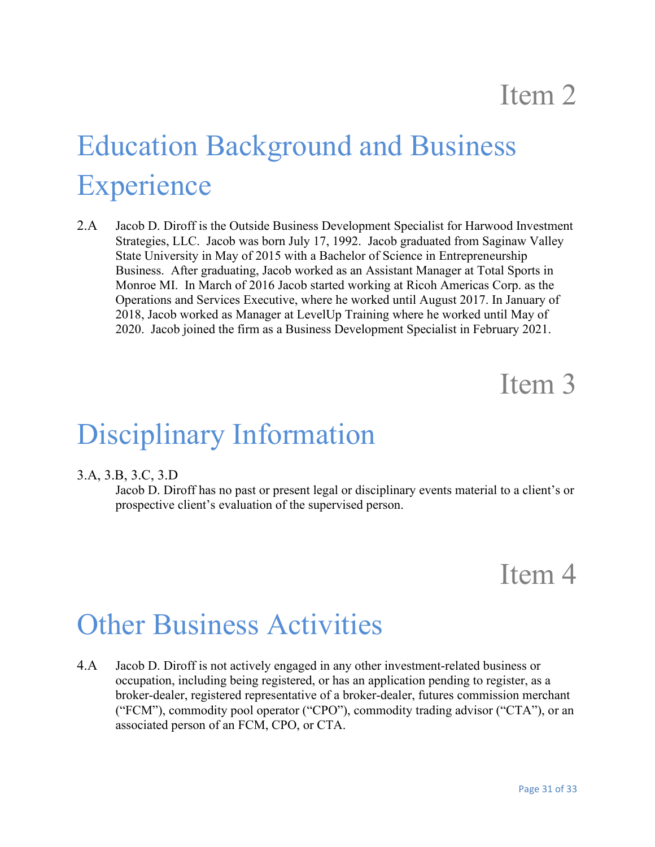# Education Background and Business **Experience**

2.A Jacob D. Diroff is the Outside Business Development Specialist for Harwood Investment Strategies, LLC. Jacob was born July 17, 1992. Jacob graduated from Saginaw Valley State University in May of 2015 with a Bachelor of Science in Entrepreneurship Business. After graduating, Jacob worked as an Assistant Manager at Total Sports in Monroe MI. In March of 2016 Jacob started working at Ricoh Americas Corp. as the Operations and Services Executive, where he worked until August 2017. In January of 2018, Jacob worked as Manager at LevelUp Training where he worked until May of 2020. Jacob joined the firm as a Business Development Specialist in February 2021.

### Item 3

### Disciplinary Information

#### 3.A, 3.B, 3.C, 3.D

Jacob D. Diroff has no past or present legal or disciplinary events material to a client's or prospective client's evaluation of the supervised person.

### Item 4

### Other Business Activities

4.A Jacob D. Diroff is not actively engaged in any other investment-related business or occupation, including being registered, or has an application pending to register, as a broker-dealer, registered representative of a broker-dealer, futures commission merchant ("FCM"), commodity pool operator ("CPO"), commodity trading advisor ("CTA"), or an associated person of an FCM, CPO, or CTA.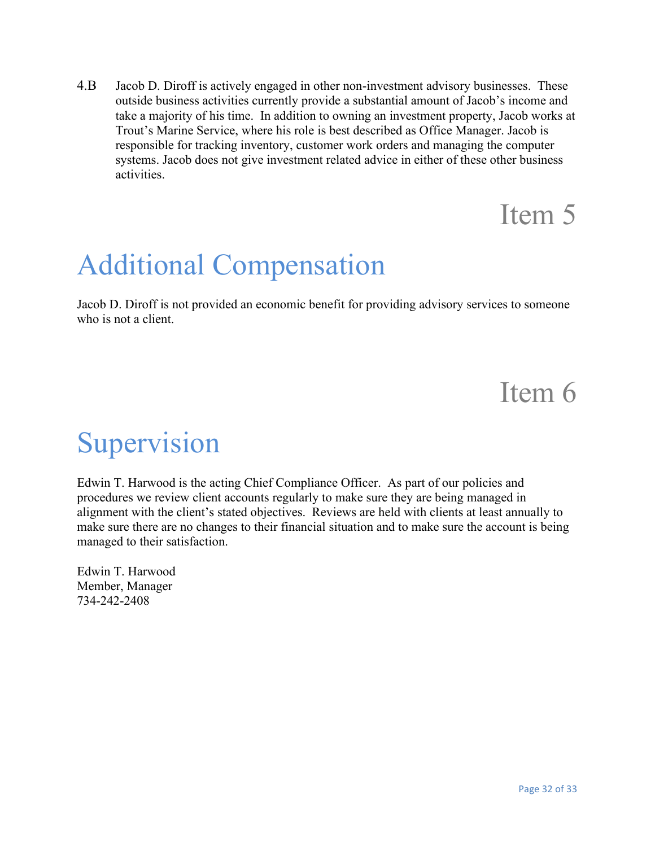4.B Jacob D. Diroff is actively engaged in other non-investment advisory businesses. These outside business activities currently provide a substantial amount of Jacob's income and take a majority of his time. In addition to owning an investment property, Jacob works at Trout's Marine Service, where his role is best described as Office Manager. Jacob is responsible for tracking inventory, customer work orders and managing the computer systems. Jacob does not give investment related advice in either of these other business activities.

## Item 5

## Additional Compensation

Jacob D. Diroff is not provided an economic benefit for providing advisory services to someone who is not a client.

### Item 6

## Supervision

Edwin T. Harwood is the acting Chief Compliance Officer. As part of our policies and procedures we review client accounts regularly to make sure they are being managed in alignment with the client's stated objectives. Reviews are held with clients at least annually to make sure there are no changes to their financial situation and to make sure the account is being managed to their satisfaction.

Edwin T. Harwood Member, Manager 734-242-2408